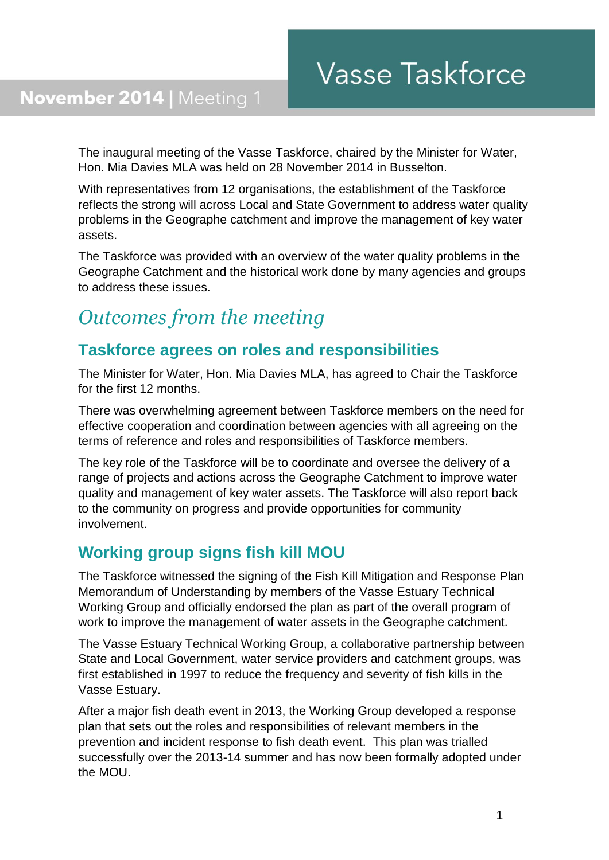## November 2014 | Meeting 1

The inaugural meeting of the Vasse Taskforce, chaired by the Minister for Water, Hon. Mia Davies MLA was held on 28 November 2014 in Busselton.

With representatives from 12 organisations, the establishment of the Taskforce reflects the strong will across Local and State Government to address water quality problems in the Geographe catchment and improve the management of key water assets.

The Taskforce was provided with an overview of the water quality problems in the Geographe Catchment and the historical work done by many agencies and groups to address these issues.

# *Outcomes from the meeting*

## **Taskforce agrees on roles and responsibilities**

The Minister for Water, Hon. Mia Davies MLA, has agreed to Chair the Taskforce for the first 12 months.

There was overwhelming agreement between Taskforce members on the need for effective cooperation and coordination between agencies with all agreeing on the terms of reference and roles and responsibilities of Taskforce members.

The key role of the Taskforce will be to coordinate and oversee the delivery of a range of projects and actions across the Geographe Catchment to improve water quality and management of key water assets. The Taskforce will also report back to the community on progress and provide opportunities for community involvement.

### **Working group signs fish kill MOU**

The Taskforce witnessed the signing of the Fish Kill Mitigation and Response Plan Memorandum of Understanding by members of the Vasse Estuary Technical Working Group and officially endorsed the plan as part of the overall program of work to improve the management of water assets in the Geographe catchment.

The Vasse Estuary Technical Working Group, a collaborative partnership between State and Local Government, water service providers and catchment groups, was first established in 1997 to reduce the frequency and severity of fish kills in the Vasse Estuary.

After a major fish death event in 2013, the Working Group developed a response plan that sets out the roles and responsibilities of relevant members in the prevention and incident response to fish death event. This plan was trialled successfully over the 2013-14 summer and has now been formally adopted under the MOU.